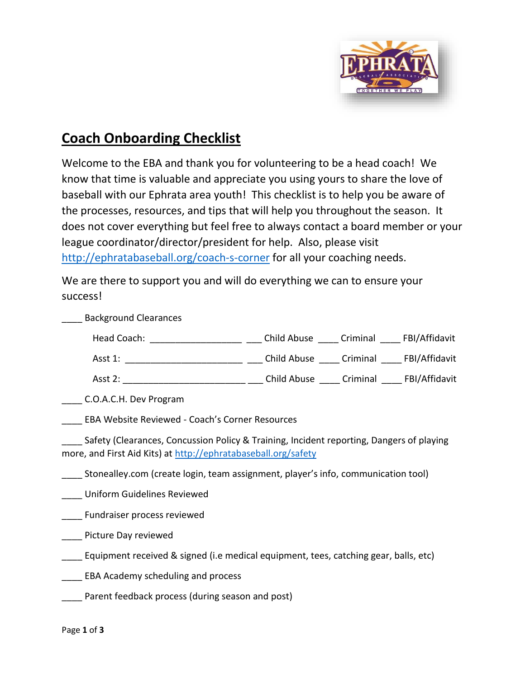

## **Coach Onboarding Checklist**

Welcome to the EBA and thank you for volunteering to be a head coach! We know that time is valuable and appreciate you using yours to share the love of baseball with our Ephrata area youth! This checklist is to help you be aware of the processes, resources, and tips that will help you throughout the season. It does not cover everything but feel free to always contact a board member or your league coordinator/director/president for help. Also, please visit <http://ephratabaseball.org/coach-s-corner> for all your coaching needs.

We are there to support you and will do everything we can to ensure your success!

\_\_\_\_ Background Clearances Head Coach: \_\_\_\_\_\_\_\_\_\_\_\_\_\_\_\_\_\_\_\_\_\_ \_\_\_\_ Child Abuse \_\_\_\_\_ Criminal \_\_\_\_\_ FBI/Affidavit Asst 1: \_\_\_\_\_\_\_\_\_\_\_\_\_\_\_\_\_\_\_\_\_\_\_\_\_ \_\_\_\_ Child Abuse \_\_\_\_ Criminal \_\_\_\_ FBI/Affidavit Asst 2: \_\_\_\_\_\_\_\_\_\_\_\_\_\_\_\_\_\_\_\_\_\_\_\_ \_\_\_ Child Abuse \_\_\_\_ Criminal \_\_\_\_ FBI/Affidavit \_\_\_\_ C.O.A.C.H. Dev Program \_\_\_\_ EBA Website Reviewed - Coach's Corner Resources \_\_\_\_ Safety (Clearances, Concussion Policy & Training, Incident reporting, Dangers of playing more, and First Aid Kits) at<http://ephratabaseball.org/safety> Stonealley.com (create login, team assignment, player's info, communication tool) \_\_\_\_ Uniform Guidelines Reviewed \_\_\_\_ Fundraiser process reviewed **\_\_\_\_\_** Picture Day reviewed Equipment received & signed (i.e medical equipment, tees, catching gear, balls, etc) \_\_\_\_ EBA Academy scheduling and process \_\_\_\_ Parent feedback process (during season and post)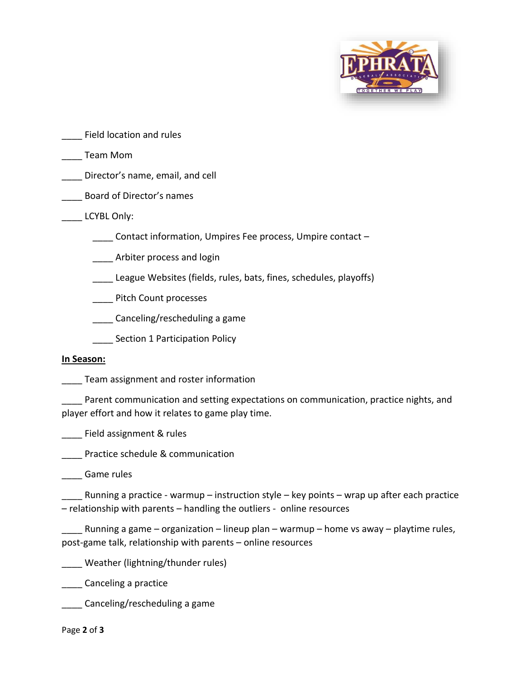

\_\_\_\_ Field location and rules

\_\_\_\_ Team Mom

\_\_\_\_ Director's name, email, and cell

\_\_\_\_ Board of Director's names

LCYBL Only:

\_\_\_\_ Contact information, Umpires Fee process, Umpire contact –

**IDELET** Arbiter process and login

\_\_\_\_ League Websites (fields, rules, bats, fines, schedules, playoffs)

\_\_\_\_ Pitch Count processes

\_\_\_\_ Canceling/rescheduling a game

Section 1 Participation Policy

## **In Season:**

\_\_\_\_ Team assignment and roster information

Parent communication and setting expectations on communication, practice nights, and player effort and how it relates to game play time.

\_\_\_\_ Field assignment & rules

\_\_\_\_ Practice schedule & communication

\_\_\_\_ Game rules

Running a practice - warmup – instruction style – key points – wrap up after each practice – relationship with parents – handling the outliers - online resources

Running a game – organization – lineup plan – warmup – home vs away – playtime rules, post-game talk, relationship with parents – online resources

\_\_\_\_ Weather (lightning/thunder rules)

\_\_\_\_ Canceling a practice

\_\_\_\_ Canceling/rescheduling a game